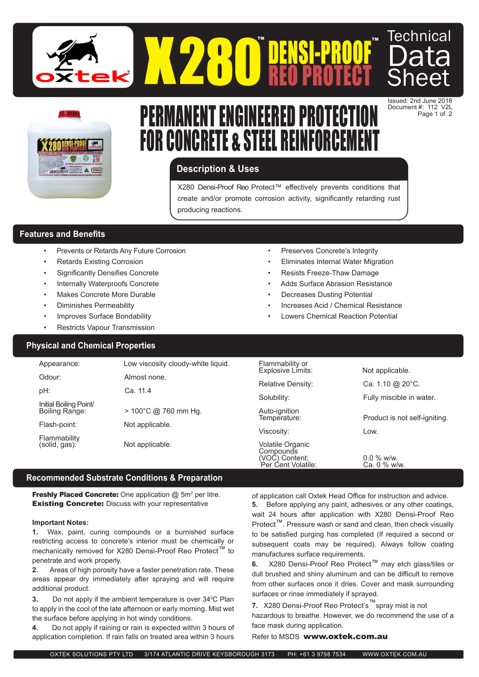



# PERMANENT ENGINEERED PROTECTION FOR CONCRETE & STEEL REINFOR

## **Description & Uses**

X280 Densi-Proof Reo Protect™ effectively prevents conditions that create and/or promote corrosion activity, significantly retarding rust producing reactions.

## **Features and Benefits**

- Prevents or Retards Any Future Corrosion
- Retards Existing Corrosion
- Significantly Densifies Concrete
- Internally Waterproofs Concrete
- Makes Concrete More Durable
- Diminishes Permeability
- Improves Surface Bondability
- Restricts Vapour Transmission
- Preserves Concrete's Integrity
- Eliminates Internal Water Migration

Document #: 112 V2L Page 1 of 2

- Resists Freeze-Thaw Damage
- Adds Surface Abrasion Resistance
- **Decreases Dusting Potential**
- Increases Acid / Chemical Resistance
- Lowers Chemical Reaction Potential

Per Cent Volatile: Ca. 0 % w/w.

## **Physical and Chemical Properties**

| Appearance:                   | Low viscosity cloudy-white liquid. | Flammability or<br>Explosive Limits: | Not applicable.               |
|-------------------------------|------------------------------------|--------------------------------------|-------------------------------|
| Odour:                        | Almost none.                       |                                      |                               |
|                               |                                    | <b>Relative Density:</b>             | Ca. 1.10 @ 20°C.              |
| pH:                           | Ca. 11.4                           | Solubility:                          | Fully miscible in water.      |
| Initial Boiling Point/        |                                    |                                      |                               |
| Boiling Range:                | $> 100^{\circ}$ C @ 760 mm Hg.     | Auto-ignition                        |                               |
| Flash-point:                  | Not applicable.                    | Temperature:                         | Product is not self-igniting. |
|                               |                                    | Viscosity:                           | Low.                          |
| Flammability<br>(solid, gas): | Not applicable.                    | Volatile Organic<br>Compounds        |                               |
|                               |                                    | (VOC) Content;                       | $0.0\%$ w/w.                  |

## **Recommended Substrate Conditions & Preparation**

**Freshly Placed Concrete:** One application  $@$  5m<sup>2</sup> per litre. **Existing Concrete: Discuss with your representative** 

#### **Important Notes:**

**1.** Wax, paint, curing compounds or a burnished surface restricting access to concrete's interior must be chemically or mechanically removed for X280 Densi-Proof Reo Protect™ to penetrate and work properly.

**2.** Areas of high porosity have a faster penetration rate. These areas appear dry immediately after spraying and will require additional product.

**3.** Do not apply if the ambient temperature is over 34<sup>o</sup>C Plan to apply in the cool of the late afternoon or early morning. Mist wet the surface before applying in hot windy conditions.

**4.** Do not apply if raining or rain is expected within 3 hours of application completion. If rain falls on treated area within 3 hours

of application call Oxtek Head Office for instruction and advice. **5.** Before applying any paint, adhesives or any other coatings, wait 24 hours after application with X280 Densi-Proof Reo Protect<sup>™</sup>. Pressure wash or sand and clean, then check visually to be satisfied purging has completed (If required a second or subsequent coats may be required). Always follow coating manufactures surface requirements.

**6.** X280 Densi-Proof Reo Protect™ may etch glass/tiles or dull brushed and shiny aluminum and can be difficult to remove from other surfaces once it dries. Cover and mask surrounding surfaces or rinse immediately if sprayed.

**7.** X280 Densi-Proof Reo Protect's™spray mist is not hazardous to breathe. However, we do recommend the use of a face mask during application.

Refer to MSDS www.oxtek.com.au